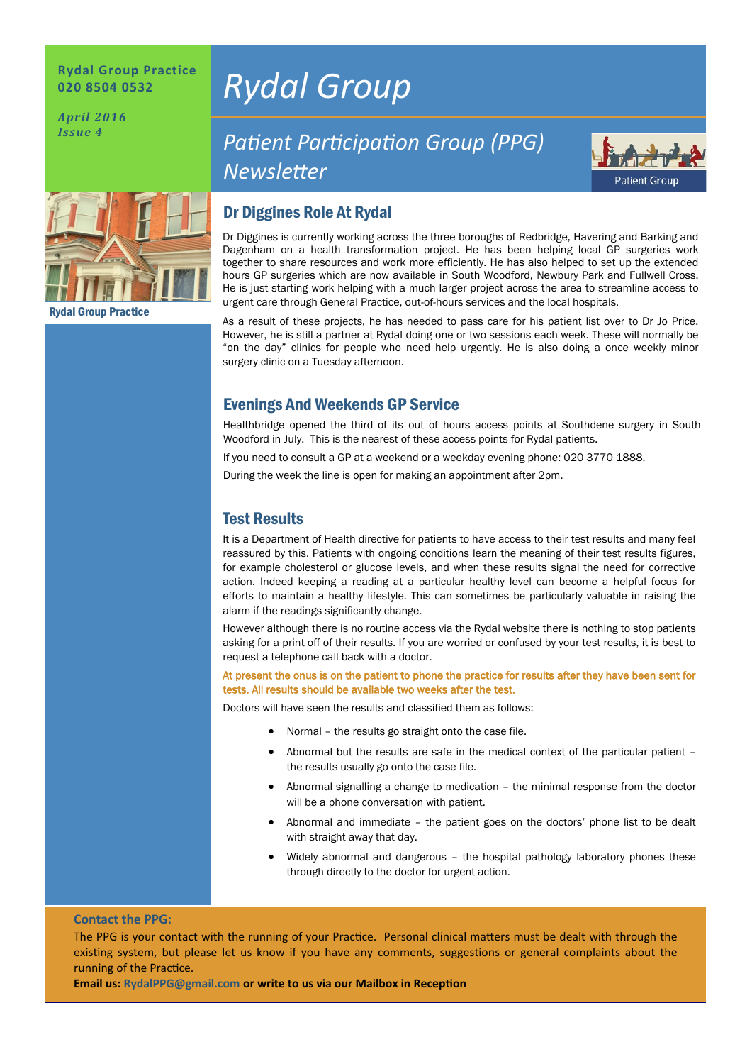#### **Rydal Group Practice 020 8504 0532**

*April 2016 Issue 4*

Rydal Group Practice

# *Rydal Group*

## **Patient Participation Group (PPG)** *Newsleter*



### Dr Diggines Role At Rydal

Dr Diggines is currently working across the three boroughs of Redbridge, Havering and Barking and Dagenham on a health transformation project. He has been helping local GP surgeries work together to share resources and work more efficiently. He has also helped to set up the extended hours GP surgeries which are now available in South Woodford, Newbury Park and Fullwell Cross. He is just starting work helping with a much larger project across the area to streamline access to urgent care through General Practice, out-of-hours services and the local hospitals.

As a result of these projects, he has needed to pass care for his patient list over to Dr Jo Price. However, he is still a partner at Rydal doing one or two sessions each week. These will normally be "on the day" clinics for people who need help urgently. He is also doing a once weekly minor surgery clinic on a Tuesday afternoon.

#### Evenings And Weekends GP Service

Healthbridge opened the third of its out of hours access points at Southdene surgery in South Woodford in July. This is the nearest of these access points for Rydal patients.

If you need to consult a GP at a weekend or a weekday evening phone: 020 3770 1888.

During the week the line is open for making an appointment after 2pm.

#### Test Results

It is a Department of Health directive for patients to have access to their test results and many feel reassured by this. Patients with ongoing conditions learn the meaning of their test results figures, for example cholesterol or glucose levels, and when these results signal the need for corrective action. Indeed keeping a reading at a particular healthy level can become a helpful focus for efforts to maintain a healthy lifestyle. This can sometimes be particularly valuable in raising the alarm if the readings significantly change.

However although there is no routine access via the Rydal website there is nothing to stop patients asking for a print off of their results. If you are worried or confused by your test results, it is best to request a telephone call back with a doctor.

At present the onus is on the patient to phone the practice for results after they have been sent for tests. All results should be available two weeks after the test.

Doctors will have seen the results and classified them as follows:

- Normal the results go straight onto the case file.
- Abnormal but the results are safe in the medical context of the particular patient the results usually go onto the case file.
- Abnormal signalling a change to medication the minimal response from the doctor will be a phone conversation with patient.
- Abnormal and immediate the patient goes on the doctors' phone list to be dealt with straight away that day.
- Widely abnormal and dangerous the hospital pathology laboratory phones these through directly to the doctor for urgent action.

#### **Contact the PPG:**

The PPG is your contact with the running of your Practice. Personal clinical matters must be dealt with through the existing system, but please let us know if you have any comments, suggestions or general complaints about the running of the Practice.

**Email us: RydalPPG@gmail.com or write to us via our Mailbox in Recepton**